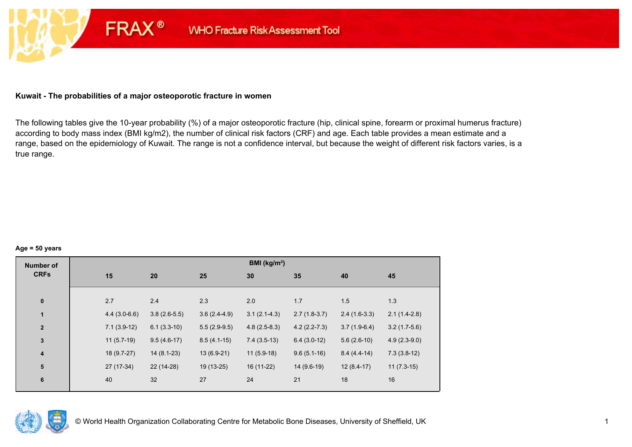## **Kuwait - The probabilities of a major osteoporotic fracture in women**

**FRAX®** 

The following tables give the 10-year probability (%) of a major osteoporotic fracture (hip, clinical spine, forearm or proximal humerus fracture) according to body mass index (BMI kg/m2), the number of clinical risk factors (CRF) and age. Each table provides a mean estimate and a range, based on the epidemiology of Kuwait. The range is not a confidence interval, but because the weight of different risk factors varies, is a true range.

#### **Age = 50 years**

| <b>Number of</b> |     |                                  |                | BMI (kg/m <sup>2</sup> ) |                |                |                |
|------------------|-----|----------------------------------|----------------|--------------------------|----------------|----------------|----------------|
| <b>CRFs</b>      | 15  | 20                               | 25             | 30                       | 35             | 40             | 45             |
|                  |     |                                  |                |                          |                |                |                |
| $\pmb{0}$        | 2.7 | 2.4                              | 2.3            | 2.0                      | 1.7            | 1.5            | 1.3            |
| 1                |     | $3.8(2.6-5.5)$<br>$4.4(3.0-6.6)$ | $3.6(2.4-4.9)$ | $3.1(2.1-4.3)$           | $2.7(1.8-3.7)$ | $2.4(1.6-3.3)$ | $2.1(1.4-2.8)$ |
| $\mathbf{2}$     |     | $7.1(3.9-12)$<br>$6.1(3.3-10)$   | $5.5(2.9-9.5)$ | $4.8(2.5-8.3)$           | $4.2(2.2-7.3)$ | $3.7(1.9-6.4)$ | $3.2(1.7-5.6)$ |
| $\mathbf{3}$     |     | $11(5.7-19)$<br>$9.5(4.6-17)$    | $8.5(4.1-15)$  | $7.4(3.5-13)$            | $6.4(3.0-12)$  | $5.6(2.6-10)$  | $4.9(2.3-9.0)$ |
| $\boldsymbol{4}$ |     | 18 (9.7-27)<br>$14(8.1-23)$      | $13(6.9-21)$   | $11(5.9-18)$             | $9.6(5.1-16)$  | $8.4(4.4-14)$  | $7.3(3.8-12)$  |
| 5                |     | 27 (17-34)<br>22 (14-28)         | $19(13-25)$    | 16 (11-22)               | 14 (9.6-19)    | $12(8.4-17)$   | $11(7.3-15)$   |
| $\bf 6$          | 40  | 32                               | 27             | 24                       | 21             | 18             | 16             |

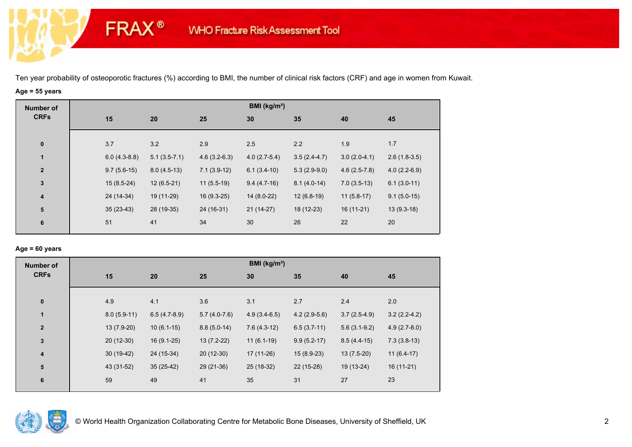# **Age = 55 years**

**FRAX®** 

| <b>Number of</b>        |                |                |                | BMI (kg/m <sup>2</sup> ) |                |                |                |
|-------------------------|----------------|----------------|----------------|--------------------------|----------------|----------------|----------------|
| <b>CRFs</b>             | 15             | 20             | 25             | 30                       | 35             | 40             | 45             |
| $\pmb{0}$               | 3.7            | 3.2            | 2.9            | 2.5                      | 2.2            | 1.9            | 1.7            |
| 1                       | $6.0(4.3-8.8)$ | $5.1(3.5-7.1)$ | $4.6(3.2-6.3)$ | $4.0(2.7-5.4)$           | $3.5(2.4-4.7)$ | $3.0(2.0-4.1)$ | $2.6(1.8-3.5)$ |
| $\overline{2}$          | $9.7(5.6-15)$  | $8.0(4.5-13)$  | $7.1(3.9-12)$  | $6.1(3.4-10)$            | $5.3(2.9-9.0)$ | $4.6(2.5-7.8)$ | $4.0(2.2-6.9)$ |
| $\mathbf{3}$            | $15(8.5-24)$   | $12(6.5-21)$   | $11(5.5-19)$   | $9.4(4.7-16)$            | $8.1(4.0-14)$  | $7.0(3.5-13)$  | $6.1(3.0-11)$  |
| $\overline{\mathbf{4}}$ | 24 (14-34)     | 19 (11-29)     | $16(9.3-25)$   | $14(8.0-22)$             | $12(6.8-19)$   | $11(5.8-17)$   | $9.1(5.0-15)$  |
| ${\bf 5}$               | $35(23-43)$    | 28 (19-35)     | 24 (16-31)     | $21(14-27)$              | 18 (12-23)     | $16(11-21)$    | $13(9.3-18)$   |
| $\bf 6$                 | 51             | 41             | 34             | 30                       | 26             | 22             | 20             |

## **Age = 60 years**

| <b>Number of</b> |               |                |                | BMI ( $kg/m2$ ) |                |                |                |
|------------------|---------------|----------------|----------------|-----------------|----------------|----------------|----------------|
| <b>CRFs</b>      | 15            | 20             | 25             | 30              | 35             | 40             | 45             |
|                  |               |                |                |                 |                |                |                |
| $\bf{0}$         | 4.9           | 4.1            | 3.6            | 3.1             | 2.7            | 2.4            | 2.0            |
| $\mathbf{1}$     | $8.0(5.9-11)$ | $6.5(4.7-8.9)$ | $5.7(4.0-7.6)$ | $4.9(3.4-6.5)$  | $4.2(2.9-5.6)$ | $3.7(2.5-4.9)$ | $3.2(2.2-4.2)$ |
| $\overline{2}$   | $13(7.9-20)$  | $10(6.1-15)$   | $8.8(5.0-14)$  | $7.6(4.3-12)$   | $6.5(3.7-11)$  | $5.6(3.1-9.2)$ | $4.9(2.7-8.0)$ |
| $\mathbf{3}$     | $20(12-30)$   | $16(9.1-25)$   | $13(7.2-22)$   | $11(6.1-19)$    | $9.9(5.2-17)$  | $8.5(4.4-15)$  | $7.3(3.8-13)$  |
| 4                | $30(19-42)$   | 24 (15-34)     | $20(12-30)$    | 17 (11-26)      | $15(8.9-23)$   | $13(7.5-20)$   | $11(6.4-17)$   |
| 5                | 43 (31-52)    | $35(25-42)$    | 29 (21-36)     | 25 (18-32)      | 22 (15-28)     | 19 (13-24)     | $16(11-21)$    |
| $6\phantom{1}6$  | 59            | 49             | 41             | 35              | 31             | 27             | 23             |
|                  |               |                |                |                 |                |                |                |

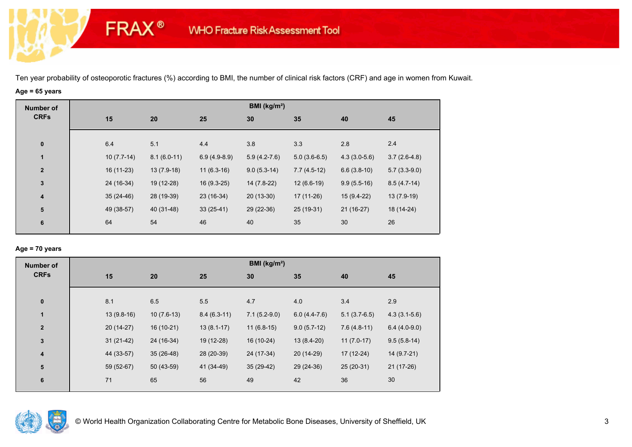# **Age = 65 years**

**FRAX®** 

| <b>Number of</b> |                                                                                                                                                                                                                                                                                    |    |    |                | BMI (kg/m <sup>2</sup> ) |                |                |                |
|------------------|------------------------------------------------------------------------------------------------------------------------------------------------------------------------------------------------------------------------------------------------------------------------------------|----|----|----------------|--------------------------|----------------|----------------|----------------|
| <b>CRFs</b>      | 15<br>20<br>25<br>6.4<br>5.1<br>4.4<br>$\bf{0}$<br>1<br>$10(7.7-14)$<br>$8.1(6.0-11)$<br>$\overline{2}$<br>16 (11-23)<br>$13(7.9-18)$<br>$\mathbf{3}$<br>24 (16-34)<br>19 (12-28)<br>28 (19-39)<br>$35(24-46)$<br>$\overline{\mathbf{4}}$<br>${\bf 5}$<br>49 (38-57)<br>40 (31-48) |    | 30 | 35             | 40                       | 45             |                |                |
|                  |                                                                                                                                                                                                                                                                                    |    |    |                |                          |                |                |                |
|                  |                                                                                                                                                                                                                                                                                    |    |    |                | 3.8                      | 3.3            | 2.8            | 2.4            |
|                  |                                                                                                                                                                                                                                                                                    |    |    | $6.9(4.9-8.9)$ | $5.9(4.2-7.6)$           | $5.0(3.6-6.5)$ | $4.3(3.0-5.6)$ | $3.7(2.6-4.8)$ |
|                  |                                                                                                                                                                                                                                                                                    |    |    | $11(6.3-16)$   | $9.0(5.3-14)$            | $7.7(4.5-12)$  | $6.6(3.8-10)$  | $5.7(3.3-9.0)$ |
|                  |                                                                                                                                                                                                                                                                                    |    |    | $16(9.3-25)$   | 14 (7.8-22)              | $12(6.6-19)$   | $9.9(5.5-16)$  | $8.5(4.7-14)$  |
|                  |                                                                                                                                                                                                                                                                                    |    |    | 23 (16-34)     | $20(13-30)$              | 17 (11-26)     | 15 (9.4-22)    | 13 (7.9-19)    |
|                  |                                                                                                                                                                                                                                                                                    |    |    | $33(25-41)$    | 29 (22-36)               | 25 (19-31)     | $21(16-27)$    | 18 (14-24)     |
| $\bf 6$          |                                                                                                                                                                                                                                                                                    | 64 | 54 | 46             | 40                       | 35             | 30             | 26             |
|                  |                                                                                                                                                                                                                                                                                    |    |    |                |                          |                |                |                |

## **Age = 70 years**

| <b>Number of</b> |              |              |               | BMI (kg/m <sup>2</sup> ) |                |                |                |
|------------------|--------------|--------------|---------------|--------------------------|----------------|----------------|----------------|
| <b>CRFs</b>      | 15           | 20           | 25            | 30                       | 35             | 40             | 45             |
|                  |              |              |               |                          |                |                |                |
| $\bf{0}$         | 8.1          | 6.5          | 5.5           | 4.7                      | 4.0            | 3.4            | 2.9            |
| $\mathbf{1}$     | $13(9.8-16)$ | $10(7.6-13)$ | $8.4(6.3-11)$ | $7.1(5.2-9.0)$           | $6.0(4.4-7.6)$ | $5.1(3.7-6.5)$ | $4.3(3.1-5.6)$ |
| $\overline{2}$   | $20(14-27)$  | $16(10-21)$  | $13(8.1-17)$  | $11(6.8-15)$             | $9.0(5.7-12)$  | $7.6(4.8-11)$  | $6.4(4.0-9.0)$ |
| $\mathbf{3}$     | $31(21-42)$  | 24 (16-34)   | 19 (12-28)    | 16 (10-24)               | $13(8.4-20)$   | $11(7.0-17)$   | $9.5(5.8-14)$  |
| 4                | 44 (33-57)   | $35(26-48)$  | 28 (20-39)    | 24 (17-34)               | 20 (14-29)     | $17(12-24)$    | 14 (9.7-21)    |
| 5                | 59 (52-67)   | 50 (43-59)   | 41 (34-49)    | $35(29-42)$              | 29 (24-36)     | $25(20-31)$    | $21(17-26)$    |
| $6\phantom{1}6$  | 71           | 65           | 56            | 49                       | 42             | 36             | 30             |
|                  |              |              |               |                          |                |                |                |

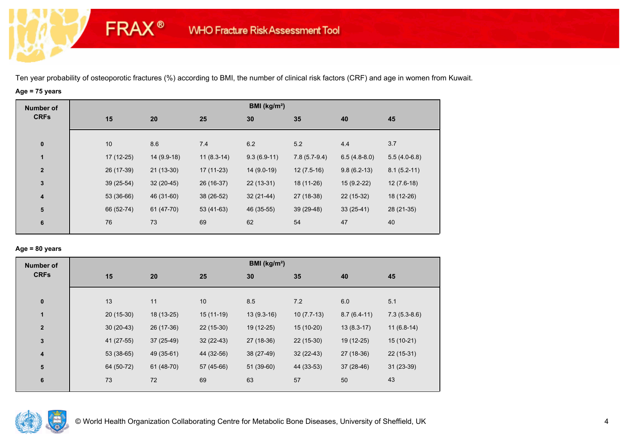# **Age = 75 years**

**FRAX®** 

| <b>Number of</b>        |             |             |              | BMI (kg/m <sup>2</sup> ) |                |                |                |
|-------------------------|-------------|-------------|--------------|--------------------------|----------------|----------------|----------------|
| <b>CRFs</b>             | 15          | 20          | 25           | 30                       | 35             | 40             | 45             |
|                         |             |             |              |                          |                |                |                |
| $\bf{0}$                | 10          | 8.6         | 7.4          | 6.2                      | 5.2            | 4.4            | 3.7            |
| $\mathbf{1}$            | $17(12-25)$ | 14 (9.9-18) | $11(8.3-14)$ | $9.3(6.9-11)$            | $7.8(5.7-9.4)$ | $6.5(4.8-8.0)$ | $5.5(4.0-6.8)$ |
| $\overline{\mathbf{2}}$ | 26 (17-39)  | $21(13-30)$ | $17(11-23)$  | $14(9.0-19)$             | $12(7.5-16)$   | $9.8(6.2-13)$  | $8.1(5.2-11)$  |
| $\mathbf{3}$            | $39(25-54)$ | $32(20-45)$ | 26 (16-37)   | $22(13-31)$              | 18 (11-26)     | 15 (9.2-22)    | $12(7.6-18)$   |
| $\overline{\mathbf{4}}$ | 53 (36-66)  | 46 (31-60)  | 38 (26-52)   | $32(21-44)$              | 27 (18-38)     | 22 (15-32)     | 18 (12-26)     |
| ${\bf 5}$               | 66 (52-74)  | 61 (47-70)  | $53(41-63)$  | 46 (35-55)               | $39(29-48)$    | $33(25-41)$    | 28 (21-35)     |
| 6                       | 76          | 73          | 69           | 62                       | 54             | 47             | 40             |
|                         |             |             |              |                          |                |                |                |

## **Age = 80 years**

| <b>Number of</b> |             |                           |             | BMI ( $kg/m2$ ) |              |               |                |
|------------------|-------------|---------------------------|-------------|-----------------|--------------|---------------|----------------|
| <b>CRFs</b>      | 15          | 20                        | 25          | 30              | 35           | 40            | 45             |
| $\pmb{0}$        | 13          | 11                        | 10          | 8.5             | 7.2          | 6.0           | 5.1            |
| 1                | $20(15-30)$ | 18 (13-25)                | $15(11-19)$ | $13(9.3-16)$    | $10(7.7-13)$ | $8.7(6.4-11)$ | $7.3(5.3-8.6)$ |
| $\mathbf{2}$     |             | 26 (17-36)<br>$30(20-43)$ | $22(15-30)$ | 19 (12-25)      | $15(10-20)$  | $13(8.3-17)$  | $11(6.8-14)$   |
| $\mathbf 3$      |             | 41 (27-55)<br>37 (25-49)  | $32(22-43)$ | 27 (18-36)      | $22(15-30)$  | 19 (12-25)    | $15(10-21)$    |
| 4                |             | $53(38-65)$<br>49 (35-61) | 44 (32-56)  | 38 (27-49)      | $32(22-43)$  | 27 (18-36)    | $22(15-31)$    |
| ${\bf 5}$        |             | 64 (50-72)<br>61 (48-70)  | 57 (45-66)  | $51(39-60)$     | 44 (33-53)   | $37(28-46)$   | $31(23-39)$    |
| $6\phantom{1}$   | 73          | 72                        | 69          | 63              | 57           | 50            | 43             |